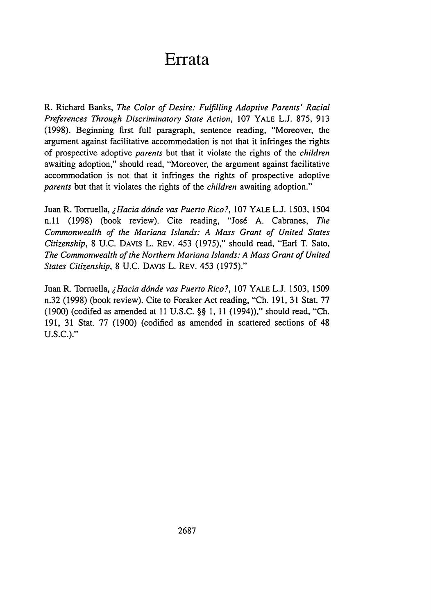## **Errata**

R. Richard Banks, *The Color of Desire: Fulfilling Adoptive Parents' Racial Preferences Through Discriminatory State Action,* 107 YALE L.J. 875, 913 (1998). Beginning first full paragraph, sentence reading, "Moreover, the argument against facilitative accommodation is not that it infringes the rights of prospective adoptive *parents* but that it violate the rights of the *children* awaiting adoption," should read, "Moreover, the argument against facilitative accommodation is not that it infringes the rights of prospective adoptive *parents* but that it violates the rights of the *children* awaiting adoption."

Juan R. Torruella, *lHacia d6nde vas Puerto Rico?,* 107 YALE **L.J.** 1503, 1504 n.11 (1998) (book review). Cite reading, "Josd A. Cabranes, *The Commonwealth of the Mariana Islands: A Mass Grant of United States Citizenship,* 8 U.C. DAVIS L. REV. 453 (1975)," should read, "Earl T. Sato, *The Commonwealth of the Northern Mariana Islands: A Mass Grant of United States Citizenship,* 8 U.C. DAVIS L. REV. 453 (1975)."

Juan R. Torruella, *iHacia ddnde vas Puerto Rico?,* 107 YALE L.J. 1503, 1509 n.32 (1998) (book review). Cite to Foraker Act reading, "Ch. 191, 31 Stat. 77 (1900) (codifed as amended at 11 **U.S.C.** §§ 1, 11 (1994))," should read, **"Ch.** 191, 31 Stat. 77 (1900) (codified as amended in scattered sections of 48 U.S.C.)."